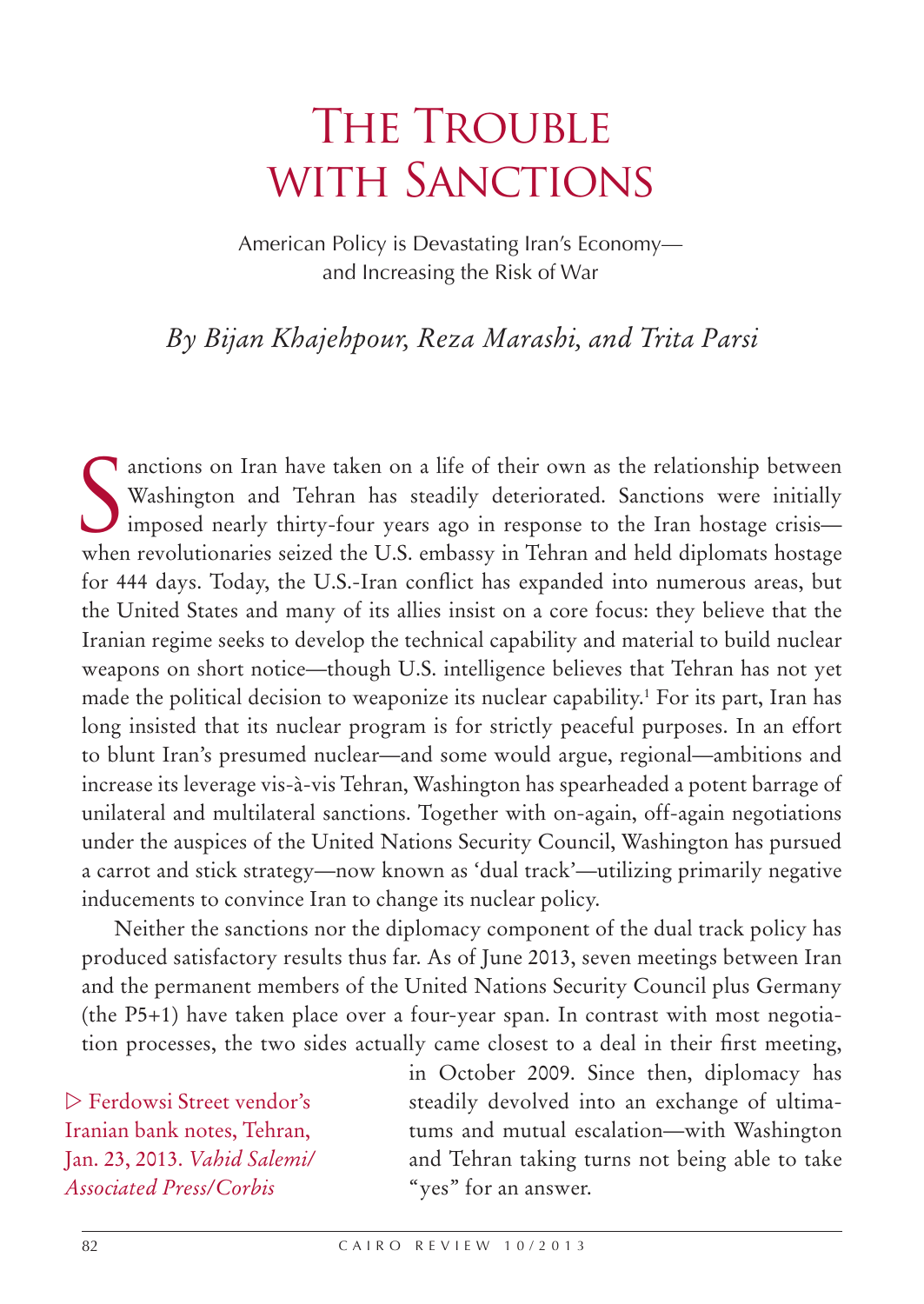# The Trouble WITH SANCTIONS

American Policy is Devastating Iran's Economy and Increasing the Risk of War

# *By Bijan Khajehpour, Reza Marashi, and Trita Parsi*

Sanctions on Iran have taken on a life of their own as the relationship between<br>Washington and Tehran has steadily deteriorated. Sanctions were initially<br>imposed nearly thirty-four years ago in response to the Iran hostage anctions on Iran have taken on a life of their own as the relationship between Washington and Tehran has steadily deteriorated. Sanctions were initially when revolutionaries seized the U.S. embassy in Tehran and held diplomats hostage for 444 days. Today, the U.S.-Iran conflict has expanded into numerous areas, but the United States and many of its allies insist on a core focus: they believe that the Iranian regime seeks to develop the technical capability and material to build nuclear weapons on short notice—though U.S. intelligence believes that Tehran has not yet made the political decision to weaponize its nuclear capability.1 For its part, Iran has long insisted that its nuclear program is for strictly peaceful purposes. In an effort to blunt Iran's presumed nuclear—and some would argue, regional—ambitions and increase its leverage vis-à-vis Tehran, Washington has spearheaded a potent barrage of unilateral and multilateral sanctions. Together with on-again, off-again negotiations under the auspices of the United Nations Security Council, Washington has pursued a carrot and stick strategy—now known as 'dual track'—utilizing primarily negative inducements to convince Iran to change its nuclear policy.

Neither the sanctions nor the diplomacy component of the dual track policy has produced satisfactory results thus far. As of June 2013, seven meetings between Iran and the permanent members of the United Nations Security Council plus Germany (the P5+1) have taken place over a four-year span. In contrast with most negotiation processes, the two sides actually came closest to a deal in their first meeting,

 $\triangleright$  Ferdowsi Street vendor's Iranian bank notes, Tehran, Jan. 23, 2013. *Vahid Salemi/ Associated Press/Corbis*

in October 2009. Since then, diplomacy has steadily devolved into an exchange of ultimatums and mutual escalation—with Washington and Tehran taking turns not being able to take "yes" for an answer.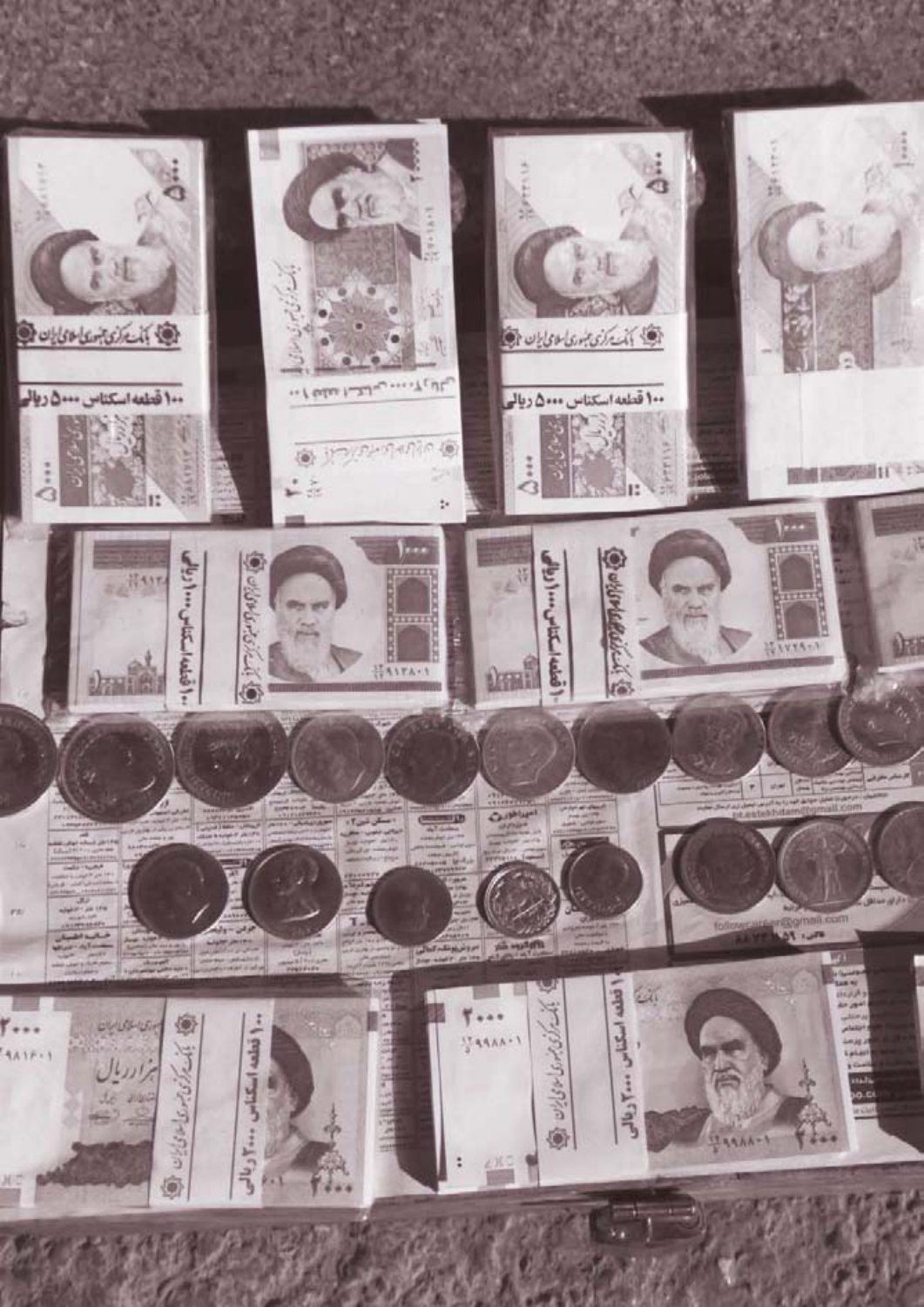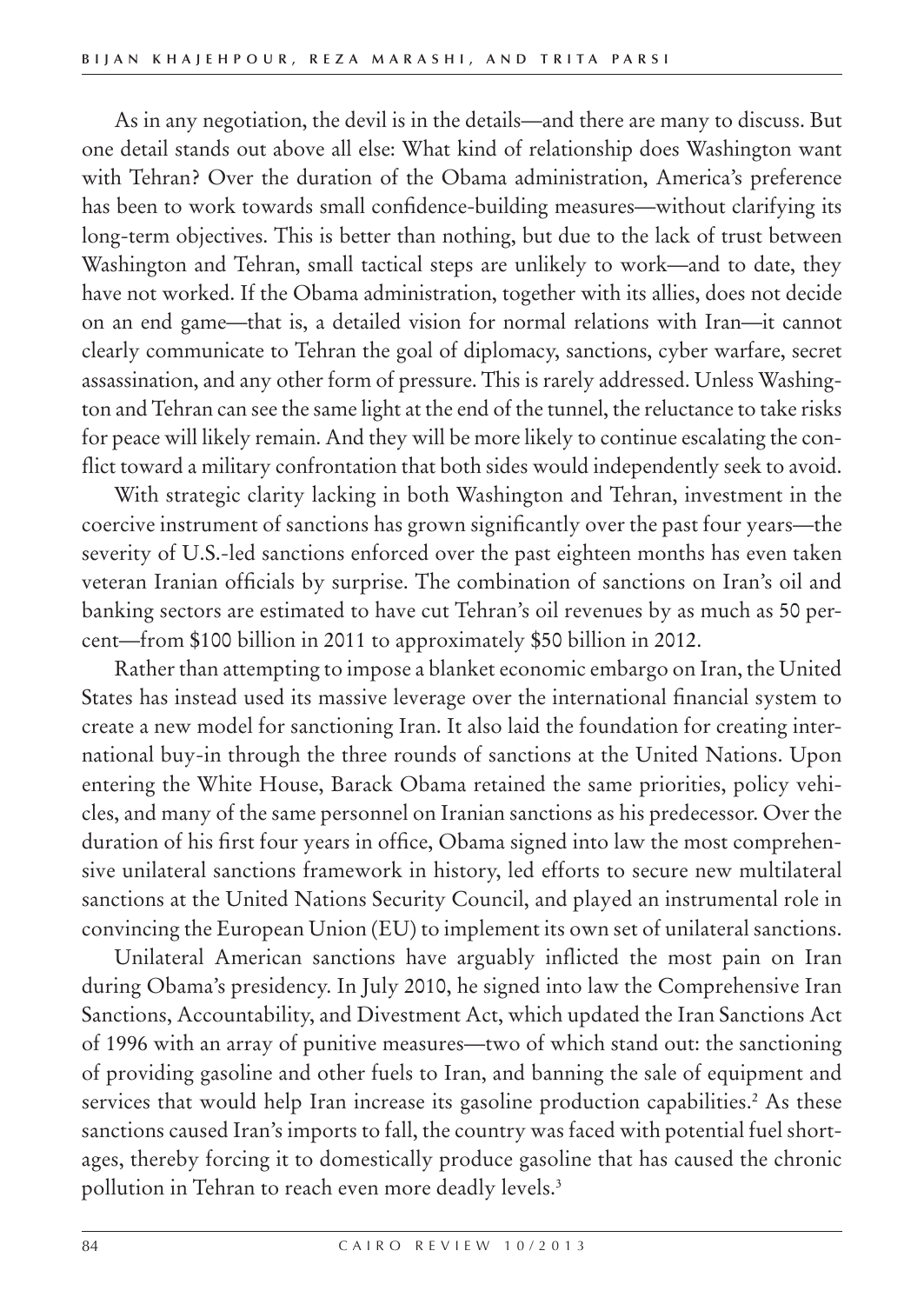As in any negotiation, the devil is in the details—and there are many to discuss. But one detail stands out above all else: What kind of relationship does Washington want with Tehran? Over the duration of the Obama administration, America's preference has been to work towards small confidence-building measures—without clarifying its long-term objectives. This is better than nothing, but due to the lack of trust between Washington and Tehran, small tactical steps are unlikely to work—and to date, they have not worked. If the Obama administration, together with its allies, does not decide on an end game—that is, a detailed vision for normal relations with Iran—it cannot clearly communicate to Tehran the goal of diplomacy, sanctions, cyber warfare, secret assassination, and any other form of pressure. This is rarely addressed. Unless Washington and Tehran can see the same light at the end of the tunnel, the reluctance to take risks for peace will likely remain. And they will be more likely to continue escalating the conflict toward a military confrontation that both sides would independently seek to avoid.

With strategic clarity lacking in both Washington and Tehran, investment in the coercive instrument of sanctions has grown significantly over the past four years—the severity of U.S.-led sanctions enforced over the past eighteen months has even taken veteran Iranian officials by surprise. The combination of sanctions on Iran's oil and banking sectors are estimated to have cut Tehran's oil revenues by as much as 50 percent—from \$100 billion in 2011 to approximately \$50 billion in 2012.

Rather than attempting to impose a blanket economic embargo on Iran, the United States has instead used its massive leverage over the international financial system to create a new model for sanctioning Iran. It also laid the foundation for creating international buy-in through the three rounds of sanctions at the United Nations. Upon entering the White House, Barack Obama retained the same priorities, policy vehicles, and many of the same personnel on Iranian sanctions as his predecessor. Over the duration of his first four years in office, Obama signed into law the most comprehensive unilateral sanctions framework in history, led efforts to secure new multilateral sanctions at the United Nations Security Council, and played an instrumental role in convincing the European Union (EU) to implement its own set of unilateral sanctions.

Unilateral American sanctions have arguably inflicted the most pain on Iran during Obama's presidency. In July 2010, he signed into law the Comprehensive Iran Sanctions, Accountability, and Divestment Act, which updated the Iran Sanctions Act of 1996 with an array of punitive measures—two of which stand out: the sanctioning of providing gasoline and other fuels to Iran, and banning the sale of equipment and services that would help Iran increase its gasoline production capabilities.<sup>2</sup> As these sanctions caused Iran's imports to fall, the country was faced with potential fuel shortages, thereby forcing it to domestically produce gasoline that has caused the chronic pollution in Tehran to reach even more deadly levels.<sup>3</sup>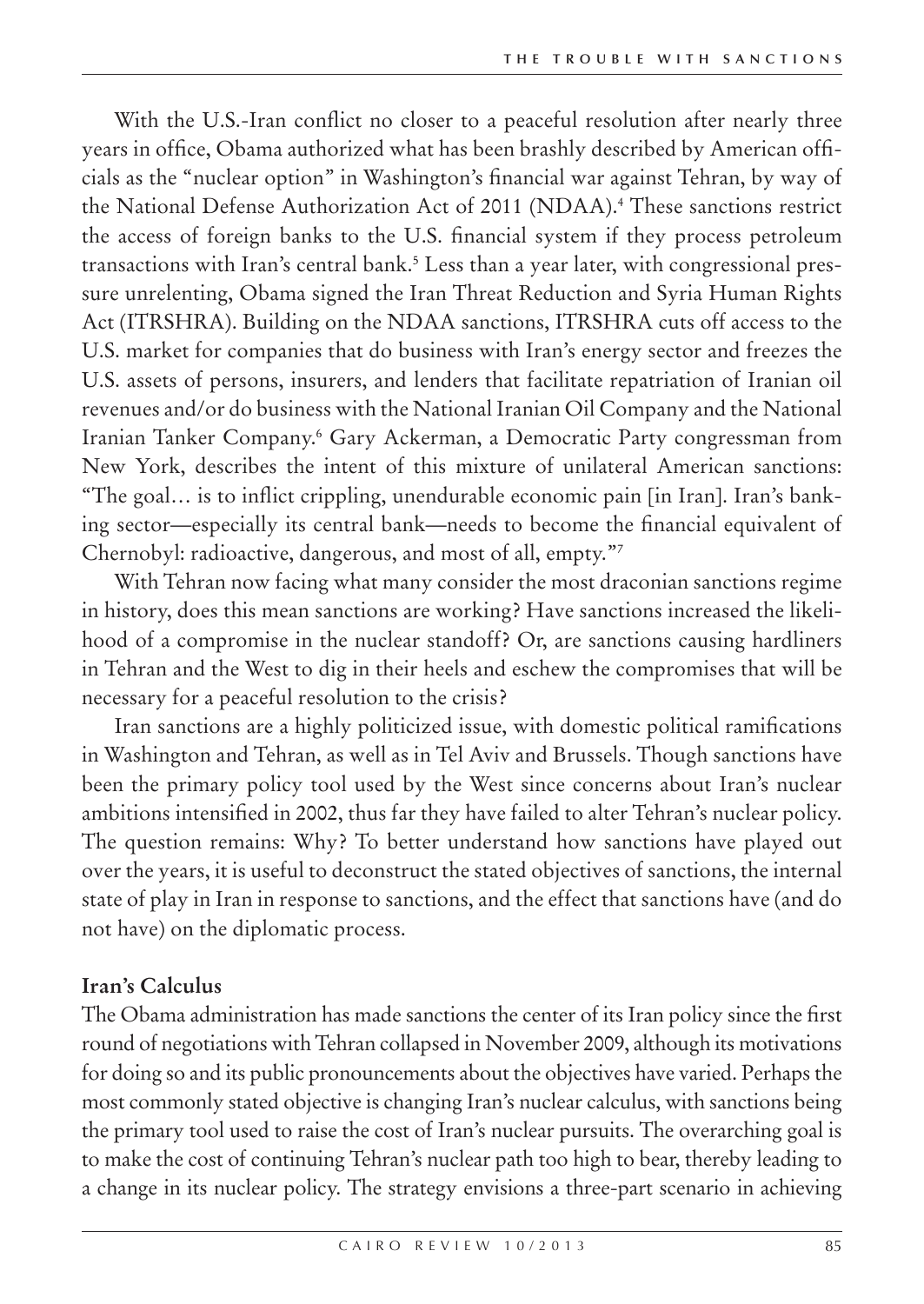With the U.S.-Iran conflict no closer to a peaceful resolution after nearly three years in office, Obama authorized what has been brashly described by American officials as the "nuclear option" in Washington's financial war against Tehran, by way of the National Defense Authorization Act of 2011 (NDAA).4 These sanctions restrict the access of foreign banks to the U.S. financial system if they process petroleum transactions with Iran's central bank.<sup>5</sup> Less than a year later, with congressional pressure unrelenting, Obama signed the Iran Threat Reduction and Syria Human Rights Act (ITRSHRA). Building on the NDAA sanctions, ITRSHRA cuts off access to the U.S. market for companies that do business with Iran's energy sector and freezes the U.S. assets of persons, insurers, and lenders that facilitate repatriation of Iranian oil revenues and/or do business with the National Iranian Oil Company and the National Iranian Tanker Company.6 Gary Ackerman, a Democratic Party congressman from New York, describes the intent of this mixture of unilateral American sanctions: "The goal… is to inflict crippling, unendurable economic pain [in Iran]. Iran's banking sector—especially its central bank—needs to become the financial equivalent of Chernobyl: radioactive, dangerous, and most of all, empty."7

With Tehran now facing what many consider the most draconian sanctions regime in history, does this mean sanctions are working? Have sanctions increased the likelihood of a compromise in the nuclear standoff? Or, are sanctions causing hardliners in Tehran and the West to dig in their heels and eschew the compromises that will be necessary for a peaceful resolution to the crisis?

Iran sanctions are a highly politicized issue, with domestic political ramifications in Washington and Tehran, as well as in Tel Aviv and Brussels. Though sanctions have been the primary policy tool used by the West since concerns about Iran's nuclear ambitions intensified in 2002, thus far they have failed to alter Tehran's nuclear policy. The question remains: Why? To better understand how sanctions have played out over the years, it is useful to deconstruct the stated objectives of sanctions, the internal state of play in Iran in response to sanctions, and the effect that sanctions have (and do not have) on the diplomatic process.

#### **Iran's Calculus**

The Obama administration has made sanctions the center of its Iran policy since the first round of negotiations with Tehran collapsed in November 2009, although its motivations for doing so and its public pronouncements about the objectives have varied. Perhaps the most commonly stated objective is changing Iran's nuclear calculus, with sanctions being the primary tool used to raise the cost of Iran's nuclear pursuits. The overarching goal is to make the cost of continuing Tehran's nuclear path too high to bear, thereby leading to a change in its nuclear policy. The strategy envisions a three-part scenario in achieving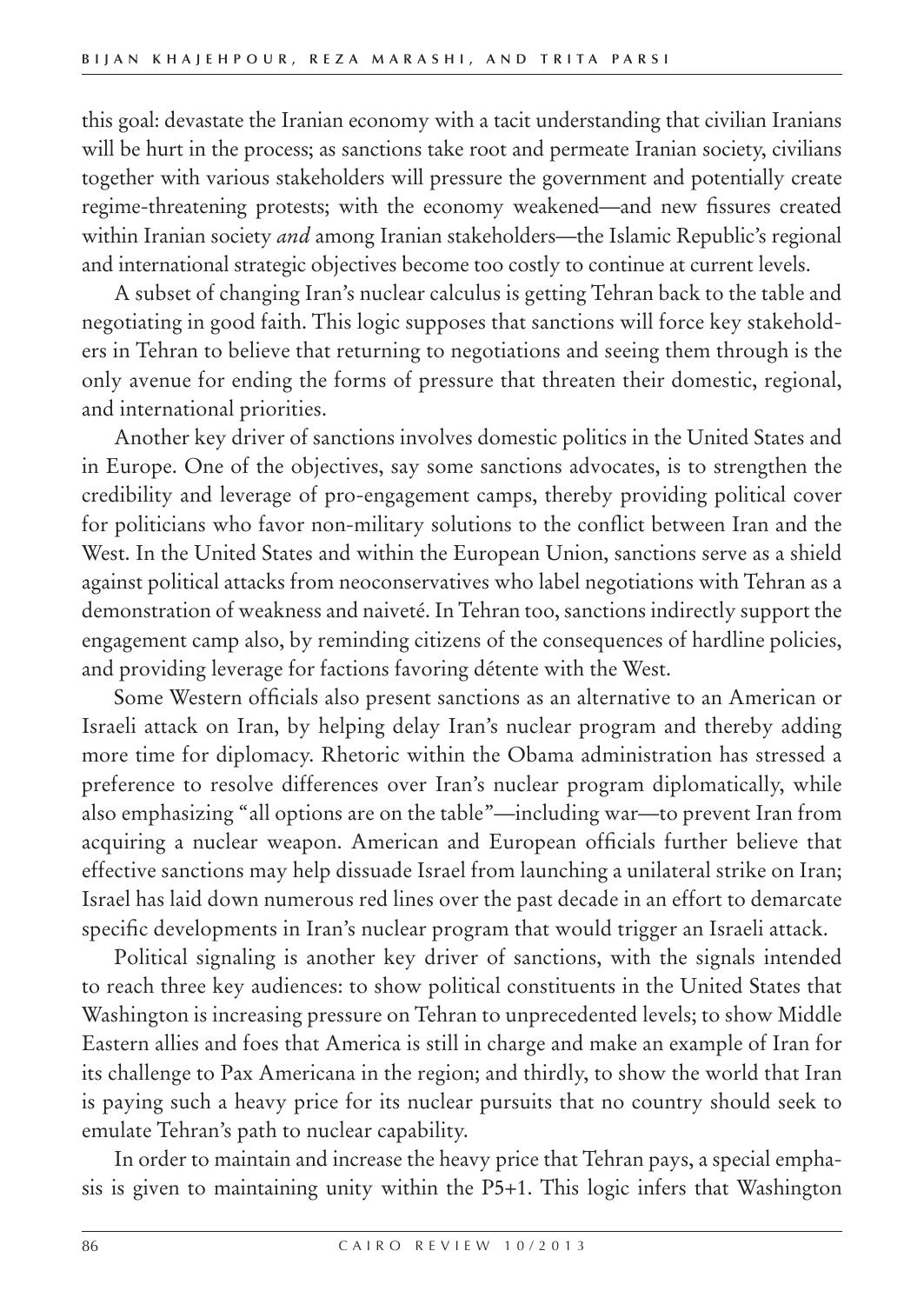this goal: devastate the Iranian economy with a tacit understanding that civilian Iranians will be hurt in the process; as sanctions take root and permeate Iranian society, civilians together with various stakeholders will pressure the government and potentially create regime-threatening protests; with the economy weakened—and new fissures created within Iranian society *and* among Iranian stakeholders—the Islamic Republic's regional and international strategic objectives become too costly to continue at current levels.

A subset of changing Iran's nuclear calculus is getting Tehran back to the table and negotiating in good faith. This logic supposes that sanctions will force key stakeholders in Tehran to believe that returning to negotiations and seeing them through is the only avenue for ending the forms of pressure that threaten their domestic, regional, and international priorities.

Another key driver of sanctions involves domestic politics in the United States and in Europe. One of the objectives, say some sanctions advocates, is to strengthen the credibility and leverage of pro-engagement camps, thereby providing political cover for politicians who favor non-military solutions to the conflict between Iran and the West. In the United States and within the European Union, sanctions serve as a shield against political attacks from neoconservatives who label negotiations with Tehran as a demonstration of weakness and naiveté. In Tehran too, sanctions indirectly support the engagement camp also, by reminding citizens of the consequences of hardline policies, and providing leverage for factions favoring détente with the West.

Some Western officials also present sanctions as an alternative to an American or Israeli attack on Iran, by helping delay Iran's nuclear program and thereby adding more time for diplomacy. Rhetoric within the Obama administration has stressed a preference to resolve differences over Iran's nuclear program diplomatically, while also emphasizing "all options are on the table"—including war—to prevent Iran from acquiring a nuclear weapon. American and European officials further believe that effective sanctions may help dissuade Israel from launching a unilateral strike on Iran; Israel has laid down numerous red lines over the past decade in an effort to demarcate specific developments in Iran's nuclear program that would trigger an Israeli attack.

Political signaling is another key driver of sanctions, with the signals intended to reach three key audiences: to show political constituents in the United States that Washington is increasing pressure on Tehran to unprecedented levels; to show Middle Eastern allies and foes that America is still in charge and make an example of Iran for its challenge to Pax Americana in the region; and thirdly, to show the world that Iran is paying such a heavy price for its nuclear pursuits that no country should seek to emulate Tehran's path to nuclear capability.

In order to maintain and increase the heavy price that Tehran pays, a special emphasis is given to maintaining unity within the P5+1. This logic infers that Washington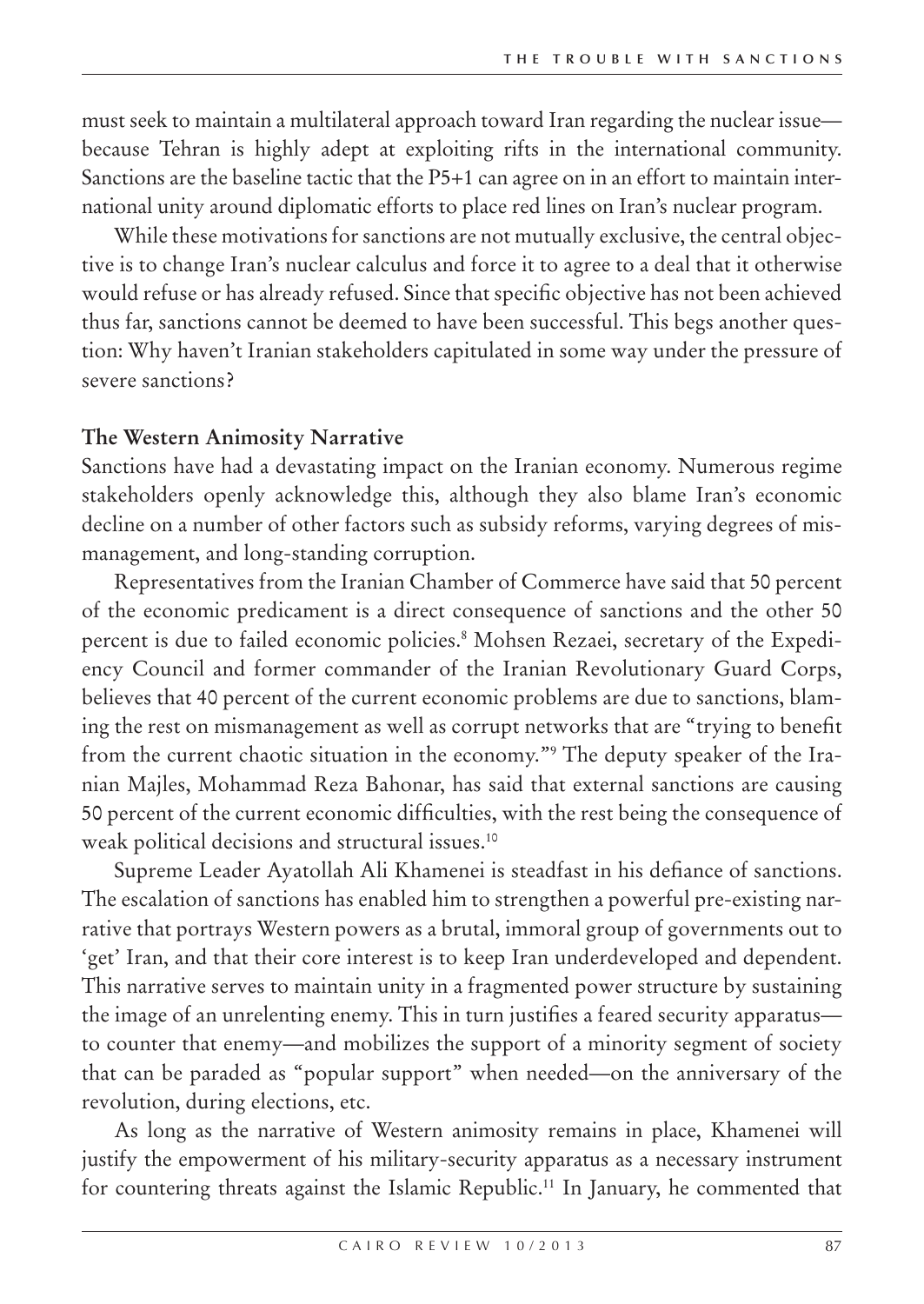must seek to maintain a multilateral approach toward Iran regarding the nuclear issue because Tehran is highly adept at exploiting rifts in the international community. Sanctions are the baseline tactic that the P5+1 can agree on in an effort to maintain international unity around diplomatic efforts to place red lines on Iran's nuclear program.

While these motivations for sanctions are not mutually exclusive, the central objective is to change Iran's nuclear calculus and force it to agree to a deal that it otherwise would refuse or has already refused. Since that specific objective has not been achieved thus far, sanctions cannot be deemed to have been successful. This begs another question: Why haven't Iranian stakeholders capitulated in some way under the pressure of severe sanctions?

#### **The Western Animosity Narrative**

Sanctions have had a devastating impact on the Iranian economy. Numerous regime stakeholders openly acknowledge this, although they also blame Iran's economic decline on a number of other factors such as subsidy reforms, varying degrees of mismanagement, and long-standing corruption.

Representatives from the Iranian Chamber of Commerce have said that 50 percent of the economic predicament is a direct consequence of sanctions and the other 50 percent is due to failed economic policies.8 Mohsen Rezaei, secretary of the Expediency Council and former commander of the Iranian Revolutionary Guard Corps, believes that 40 percent of the current economic problems are due to sanctions, blaming the rest on mismanagement as well as corrupt networks that are "trying to benefit from the current chaotic situation in the economy."9 The deputy speaker of the Iranian Majles, Mohammad Reza Bahonar, has said that external sanctions are causing 50 percent of the current economic difficulties, with the rest being the consequence of weak political decisions and structural issues.<sup>10</sup>

Supreme Leader Ayatollah Ali Khamenei is steadfast in his defiance of sanctions. The escalation of sanctions has enabled him to strengthen a powerful pre-existing narrative that portrays Western powers as a brutal, immoral group of governments out to 'get' Iran, and that their core interest is to keep Iran underdeveloped and dependent. This narrative serves to maintain unity in a fragmented power structure by sustaining the image of an unrelenting enemy. This in turn justifies a feared security apparatus to counter that enemy—and mobilizes the support of a minority segment of society that can be paraded as "popular support" when needed—on the anniversary of the revolution, during elections, etc.

As long as the narrative of Western animosity remains in place, Khamenei will justify the empowerment of his military-security apparatus as a necessary instrument for countering threats against the Islamic Republic.<sup>11</sup> In January, he commented that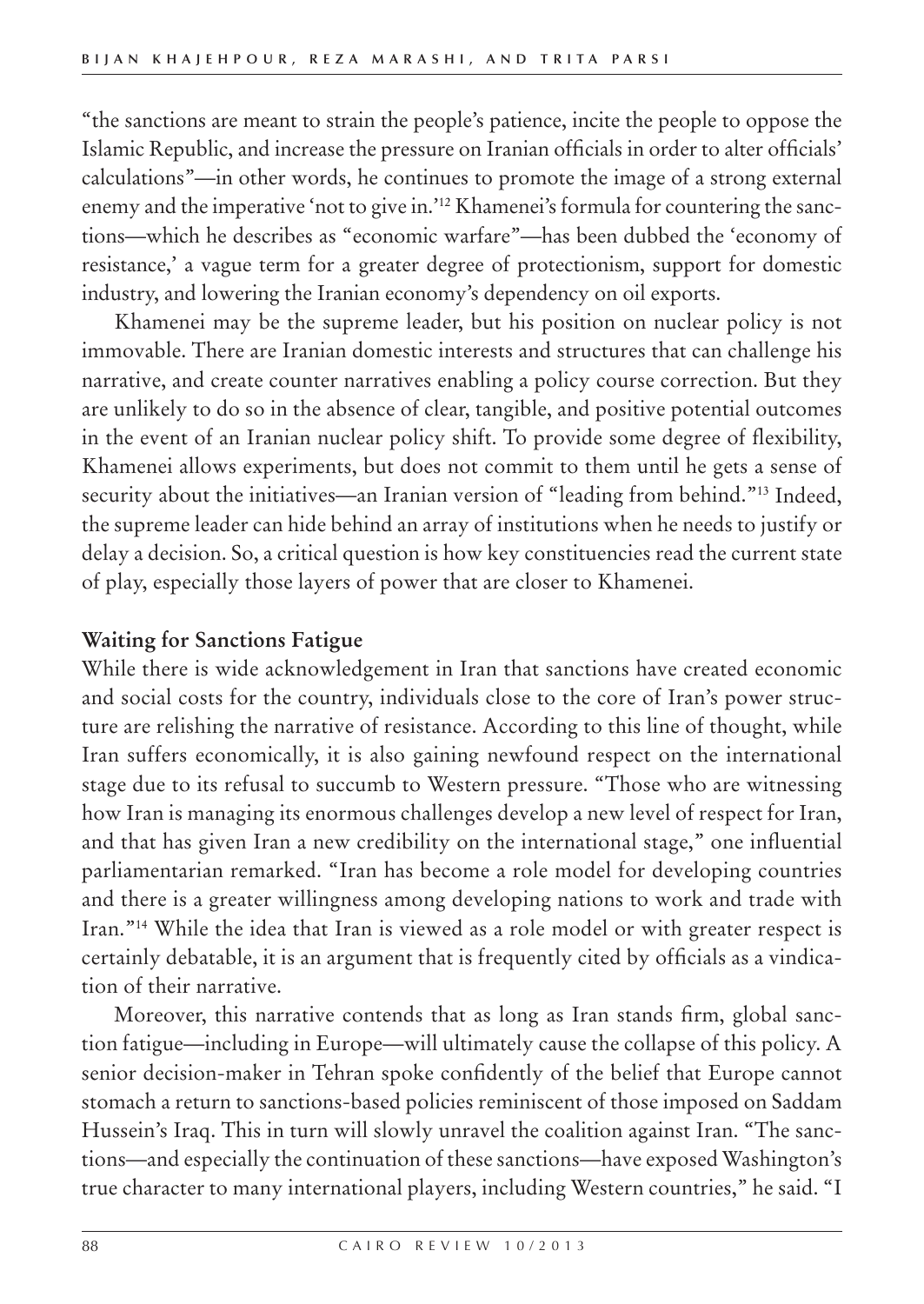"the sanctions are meant to strain the people's patience, incite the people to oppose the Islamic Republic, and increase the pressure on Iranian officials in order to alter officials' calculations"—in other words, he continues to promote the image of a strong external enemy and the imperative 'not to give in.'12 Khamenei's formula for countering the sanctions—which he describes as "economic warfare"—has been dubbed the 'economy of resistance,' a vague term for a greater degree of protectionism, support for domestic industry, and lowering the Iranian economy's dependency on oil exports.

Khamenei may be the supreme leader, but his position on nuclear policy is not immovable. There are Iranian domestic interests and structures that can challenge his narrative, and create counter narratives enabling a policy course correction. But they are unlikely to do so in the absence of clear, tangible, and positive potential outcomes in the event of an Iranian nuclear policy shift. To provide some degree of flexibility, Khamenei allows experiments, but does not commit to them until he gets a sense of security about the initiatives—an Iranian version of "leading from behind."13 Indeed, the supreme leader can hide behind an array of institutions when he needs to justify or delay a decision. So, a critical question is how key constituencies read the current state of play, especially those layers of power that are closer to Khamenei.

# **Waiting for Sanctions Fatigue**

While there is wide acknowledgement in Iran that sanctions have created economic and social costs for the country, individuals close to the core of Iran's power structure are relishing the narrative of resistance. According to this line of thought, while Iran suffers economically, it is also gaining newfound respect on the international stage due to its refusal to succumb to Western pressure. "Those who are witnessing how Iran is managing its enormous challenges develop a new level of respect for Iran, and that has given Iran a new credibility on the international stage," one influential parliamentarian remarked. "Iran has become a role model for developing countries and there is a greater willingness among developing nations to work and trade with Iran."14 While the idea that Iran is viewed as a role model or with greater respect is certainly debatable, it is an argument that is frequently cited by officials as a vindication of their narrative.

Moreover, this narrative contends that as long as Iran stands firm, global sanction fatigue—including in Europe—will ultimately cause the collapse of this policy. A senior decision-maker in Tehran spoke confidently of the belief that Europe cannot stomach a return to sanctions-based policies reminiscent of those imposed on Saddam Hussein's Iraq. This in turn will slowly unravel the coalition against Iran. "The sanctions—and especially the continuation of these sanctions—have exposed Washington's true character to many international players, including Western countries," he said. "I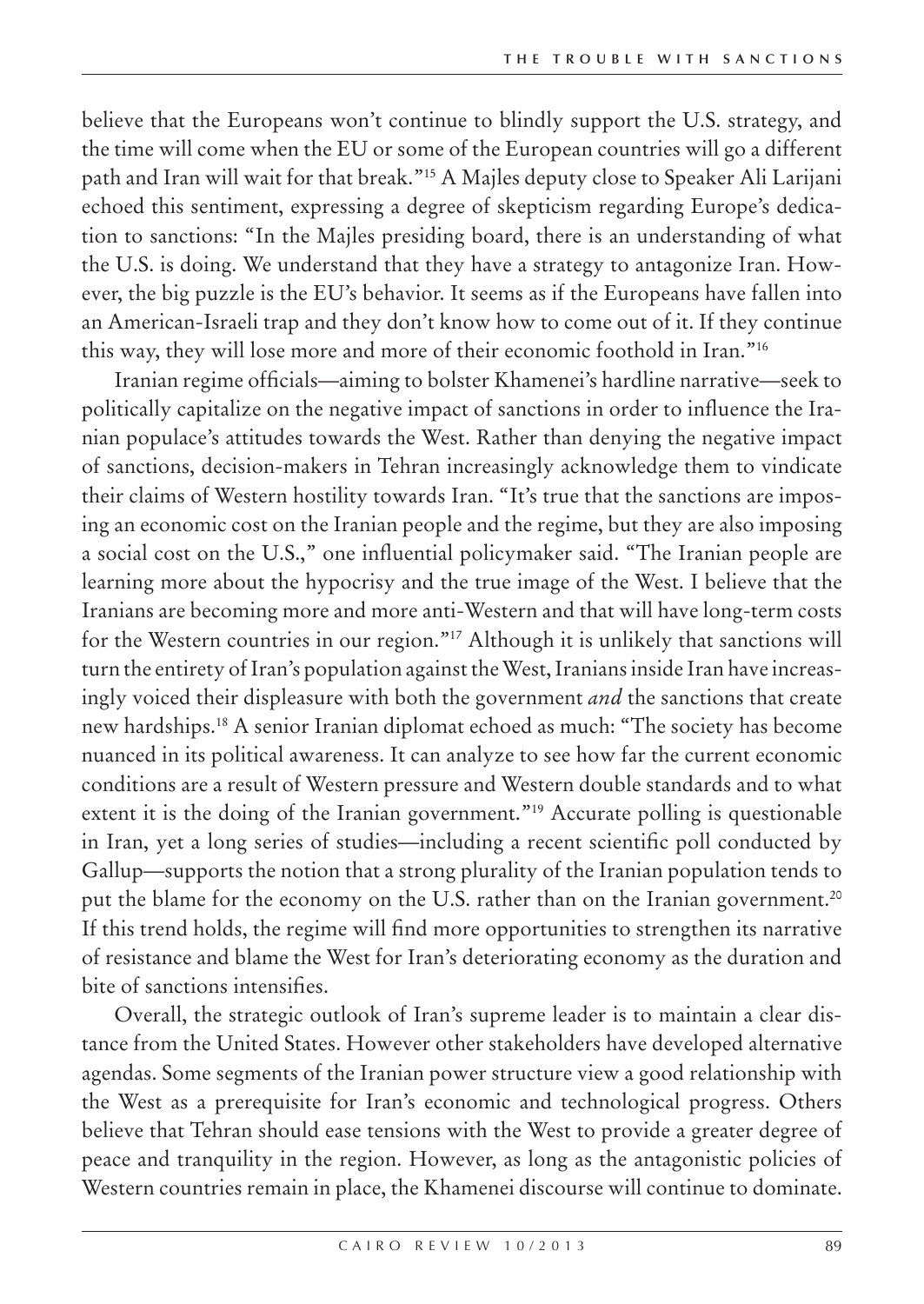believe that the Europeans won't continue to blindly support the U.S. strategy, and the time will come when the EU or some of the European countries will go a different path and Iran will wait for that break."15 A Majles deputy close to Speaker Ali Larijani echoed this sentiment, expressing a degree of skepticism regarding Europe's dedication to sanctions: "In the Majles presiding board, there is an understanding of what the U.S. is doing. We understand that they have a strategy to antagonize Iran. However, the big puzzle is the EU's behavior. It seems as if the Europeans have fallen into an American-Israeli trap and they don't know how to come out of it. If they continue this way, they will lose more and more of their economic foothold in Iran."16

Iranian regime officials—aiming to bolster Khamenei's hardline narrative—seek to politically capitalize on the negative impact of sanctions in order to influence the Iranian populace's attitudes towards the West. Rather than denying the negative impact of sanctions, decision-makers in Tehran increasingly acknowledge them to vindicate their claims of Western hostility towards Iran. "It's true that the sanctions are imposing an economic cost on the Iranian people and the regime, but they are also imposing a social cost on the U.S.," one influential policymaker said. "The Iranian people are learning more about the hypocrisy and the true image of the West. I believe that the Iranians are becoming more and more anti-Western and that will have long-term costs for the Western countries in our region."<sup>17</sup> Although it is unlikely that sanctions will turn the entirety of Iran's population against the West, Iranians inside Iran have increasingly voiced their displeasure with both the government *and* the sanctions that create new hardships.18 A senior Iranian diplomat echoed as much: "The society has become nuanced in its political awareness. It can analyze to see how far the current economic conditions are a result of Western pressure and Western double standards and to what extent it is the doing of the Iranian government."19 Accurate polling is questionable in Iran, yet a long series of studies—including a recent scientific poll conducted by Gallup—supports the notion that a strong plurality of the Iranian population tends to put the blame for the economy on the U.S. rather than on the Iranian government.<sup>20</sup> If this trend holds, the regime will find more opportunities to strengthen its narrative of resistance and blame the West for Iran's deteriorating economy as the duration and bite of sanctions intensifies.

Overall, the strategic outlook of Iran's supreme leader is to maintain a clear distance from the United States. However other stakeholders have developed alternative agendas. Some segments of the Iranian power structure view a good relationship with the West as a prerequisite for Iran's economic and technological progress. Others believe that Tehran should ease tensions with the West to provide a greater degree of peace and tranquility in the region. However, as long as the antagonistic policies of Western countries remain in place, the Khamenei discourse will continue to dominate.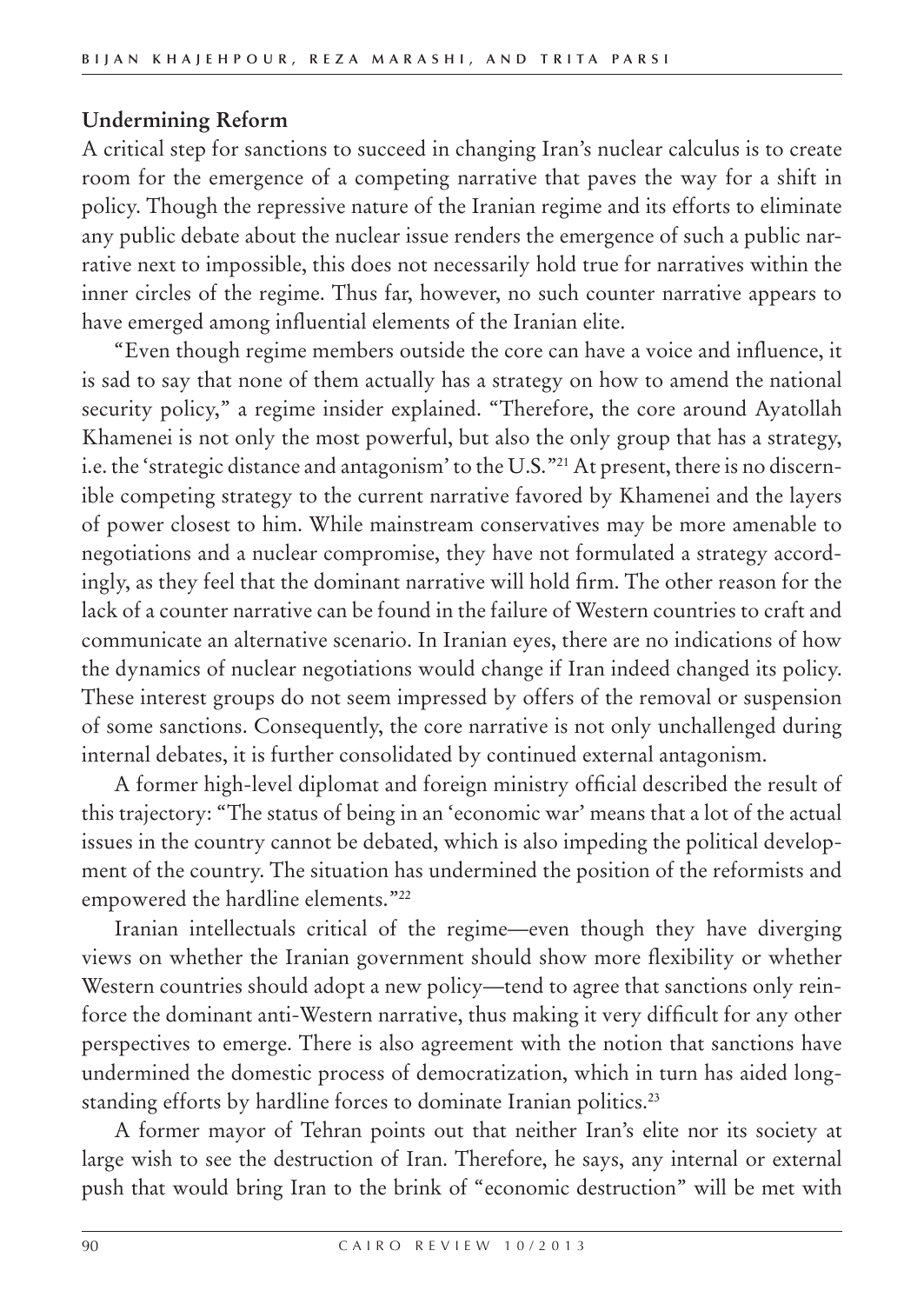#### **Undermining Reform**

A critical step for sanctions to succeed in changing Iran's nuclear calculus is to create room for the emergence of a competing narrative that paves the way for a shift in policy. Though the repressive nature of the Iranian regime and its efforts to eliminate any public debate about the nuclear issue renders the emergence of such a public narrative next to impossible, this does not necessarily hold true for narratives within the inner circles of the regime. Thus far, however, no such counter narrative appears to have emerged among influential elements of the Iranian elite.

"Even though regime members outside the core can have a voice and influence, it is sad to say that none of them actually has a strategy on how to amend the national security policy," a regime insider explained. "Therefore, the core around Ayatollah Khamenei is not only the most powerful, but also the only group that has a strategy, i.e. the 'strategic distance and antagonism' to the U.S."<sup>21</sup> At present, there is no discernible competing strategy to the current narrative favored by Khamenei and the layers of power closest to him. While mainstream conservatives may be more amenable to negotiations and a nuclear compromise, they have not formulated a strategy accordingly, as they feel that the dominant narrative will hold firm. The other reason for the lack of a counter narrative can be found in the failure of Western countries to craft and communicate an alternative scenario. In Iranian eyes, there are no indications of how the dynamics of nuclear negotiations would change if Iran indeed changed its policy. These interest groups do not seem impressed by offers of the removal or suspension of some sanctions. Consequently, the core narrative is not only unchallenged during internal debates, it is further consolidated by continued external antagonism.

A former high-level diplomat and foreign ministry official described the result of this trajectory: "The status of being in an 'economic war' means that a lot of the actual issues in the country cannot be debated, which is also impeding the political development of the country. The situation has undermined the position of the reformists and empowered the hardline elements."22

Iranian intellectuals critical of the regime—even though they have diverging views on whether the Iranian government should show more flexibility or whether Western countries should adopt a new policy—tend to agree that sanctions only reinforce the dominant anti-Western narrative, thus making it very difficult for any other perspectives to emerge. There is also agreement with the notion that sanctions have undermined the domestic process of democratization, which in turn has aided longstanding efforts by hardline forces to dominate Iranian politics.<sup>23</sup>

A former mayor of Tehran points out that neither Iran's elite nor its society at large wish to see the destruction of Iran. Therefore, he says, any internal or external push that would bring Iran to the brink of "economic destruction" will be met with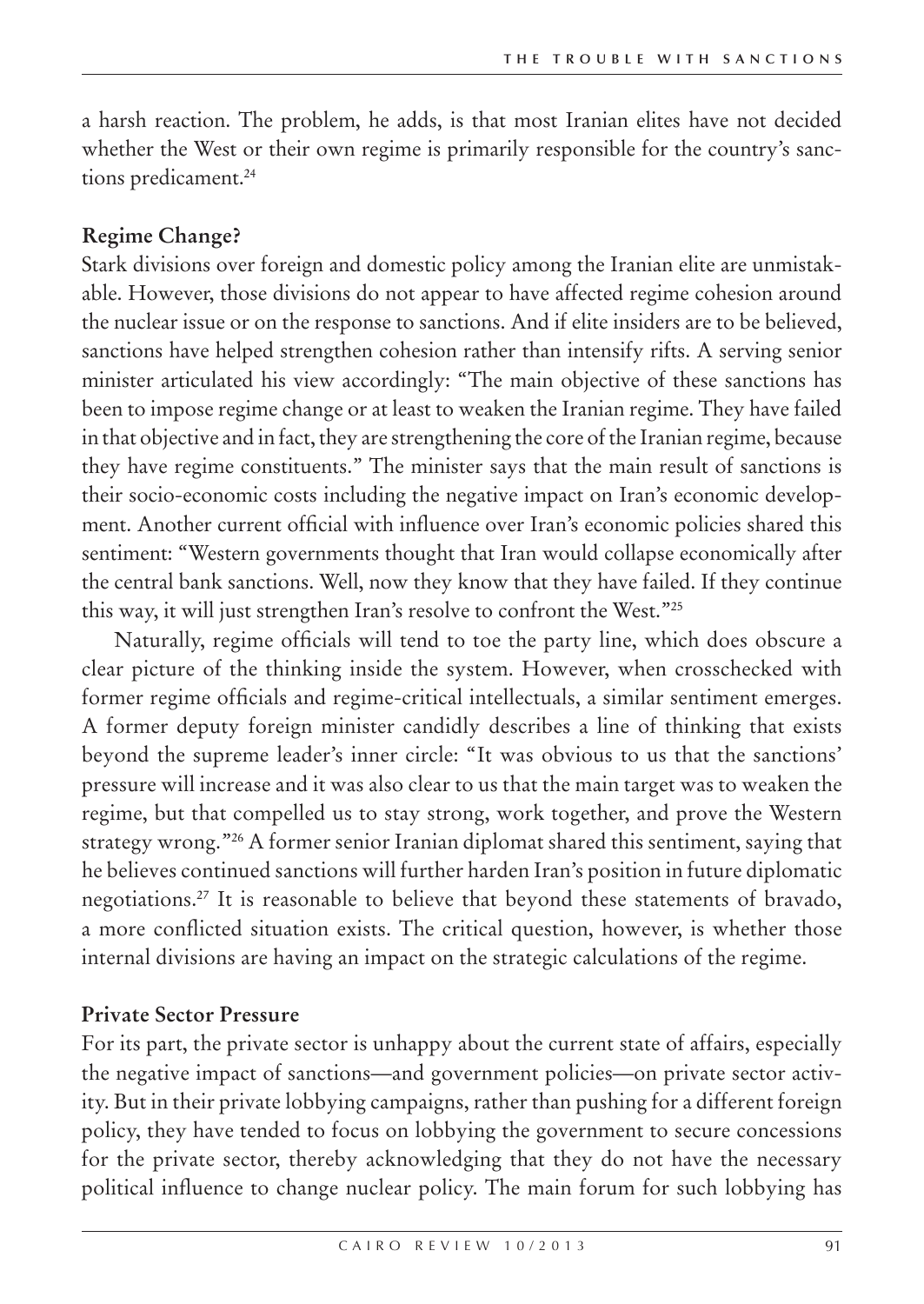a harsh reaction. The problem, he adds, is that most Iranian elites have not decided whether the West or their own regime is primarily responsible for the country's sanctions predicament.<sup>24</sup>

### **Regime Change?**

Stark divisions over foreign and domestic policy among the Iranian elite are unmistakable. However, those divisions do not appear to have affected regime cohesion around the nuclear issue or on the response to sanctions. And if elite insiders are to be believed, sanctions have helped strengthen cohesion rather than intensify rifts. A serving senior minister articulated his view accordingly: "The main objective of these sanctions has been to impose regime change or at least to weaken the Iranian regime. They have failed in that objective and in fact, they are strengthening the core of the Iranian regime, because they have regime constituents." The minister says that the main result of sanctions is their socio-economic costs including the negative impact on Iran's economic development. Another current official with influence over Iran's economic policies shared this sentiment: "Western governments thought that Iran would collapse economically after the central bank sanctions. Well, now they know that they have failed. If they continue this way, it will just strengthen Iran's resolve to confront the West."25

Naturally, regime officials will tend to toe the party line, which does obscure a clear picture of the thinking inside the system. However, when crosschecked with former regime officials and regime-critical intellectuals, a similar sentiment emerges. A former deputy foreign minister candidly describes a line of thinking that exists beyond the supreme leader's inner circle: "It was obvious to us that the sanctions' pressure will increase and it was also clear to us that the main target was to weaken the regime, but that compelled us to stay strong, work together, and prove the Western strategy wrong."26 A former senior Iranian diplomat shared this sentiment, saying that he believes continued sanctions will further harden Iran's position in future diplomatic negotiations.27 It is reasonable to believe that beyond these statements of bravado, a more conflicted situation exists. The critical question, however, is whether those internal divisions are having an impact on the strategic calculations of the regime.

# **Private Sector Pressure**

For its part, the private sector is unhappy about the current state of affairs, especially the negative impact of sanctions—and government policies—on private sector activity. But in their private lobbying campaigns, rather than pushing for a different foreign policy, they have tended to focus on lobbying the government to secure concessions for the private sector, thereby acknowledging that they do not have the necessary political influence to change nuclear policy. The main forum for such lobbying has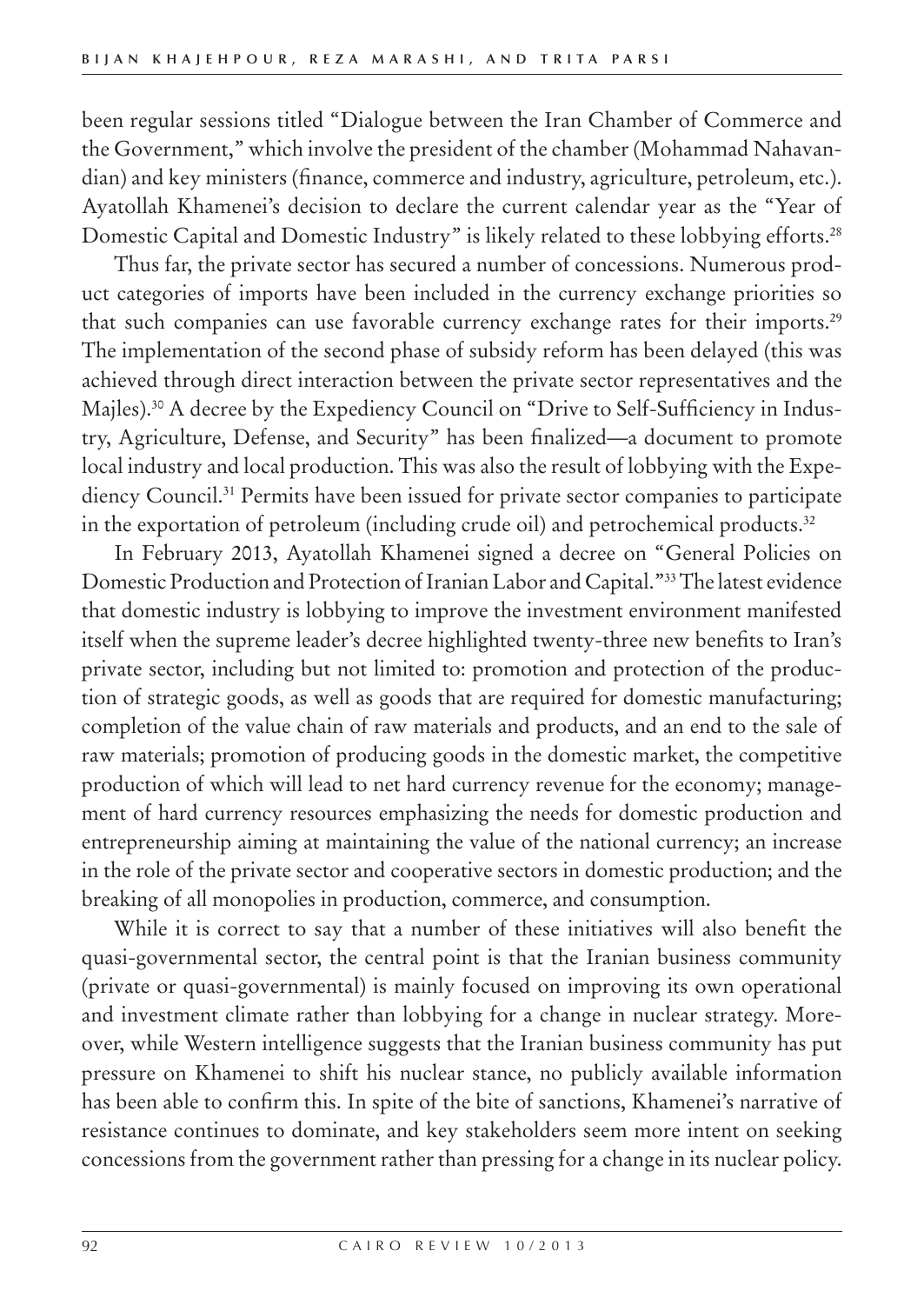been regular sessions titled "Dialogue between the Iran Chamber of Commerce and the Government," which involve the president of the chamber (Mohammad Nahavandian) and key ministers (finance, commerce and industry, agriculture, petroleum, etc.). Ayatollah Khamenei's decision to declare the current calendar year as the "Year of Domestic Capital and Domestic Industry" is likely related to these lobbying efforts.28

Thus far, the private sector has secured a number of concessions. Numerous product categories of imports have been included in the currency exchange priorities so that such companies can use favorable currency exchange rates for their imports.29 The implementation of the second phase of subsidy reform has been delayed (this was achieved through direct interaction between the private sector representatives and the Majles).30 A decree by the Expediency Council on "Drive to Self-Sufficiency in Industry, Agriculture, Defense, and Security" has been finalized—a document to promote local industry and local production. This was also the result of lobbying with the Expediency Council.31 Permits have been issued for private sector companies to participate in the exportation of petroleum (including crude oil) and petrochemical products.<sup>32</sup>

In February 2013, Ayatollah Khamenei signed a decree on "General Policies on Domestic Production and Protection of Iranian Labor and Capital."33 The latest evidence that domestic industry is lobbying to improve the investment environment manifested itself when the supreme leader's decree highlighted twenty-three new benefits to Iran's private sector, including but not limited to: promotion and protection of the production of strategic goods, as well as goods that are required for domestic manufacturing; completion of the value chain of raw materials and products, and an end to the sale of raw materials; promotion of producing goods in the domestic market, the competitive production of which will lead to net hard currency revenue for the economy; management of hard currency resources emphasizing the needs for domestic production and entrepreneurship aiming at maintaining the value of the national currency; an increase in the role of the private sector and cooperative sectors in domestic production; and the breaking of all monopolies in production, commerce, and consumption.

While it is correct to say that a number of these initiatives will also benefit the quasi-governmental sector, the central point is that the Iranian business community (private or quasi-governmental) is mainly focused on improving its own operational and investment climate rather than lobbying for a change in nuclear strategy. Moreover, while Western intelligence suggests that the Iranian business community has put pressure on Khamenei to shift his nuclear stance, no publicly available information has been able to confirm this. In spite of the bite of sanctions, Khamenei's narrative of resistance continues to dominate, and key stakeholders seem more intent on seeking concessions from the government rather than pressing for a change in its nuclear policy.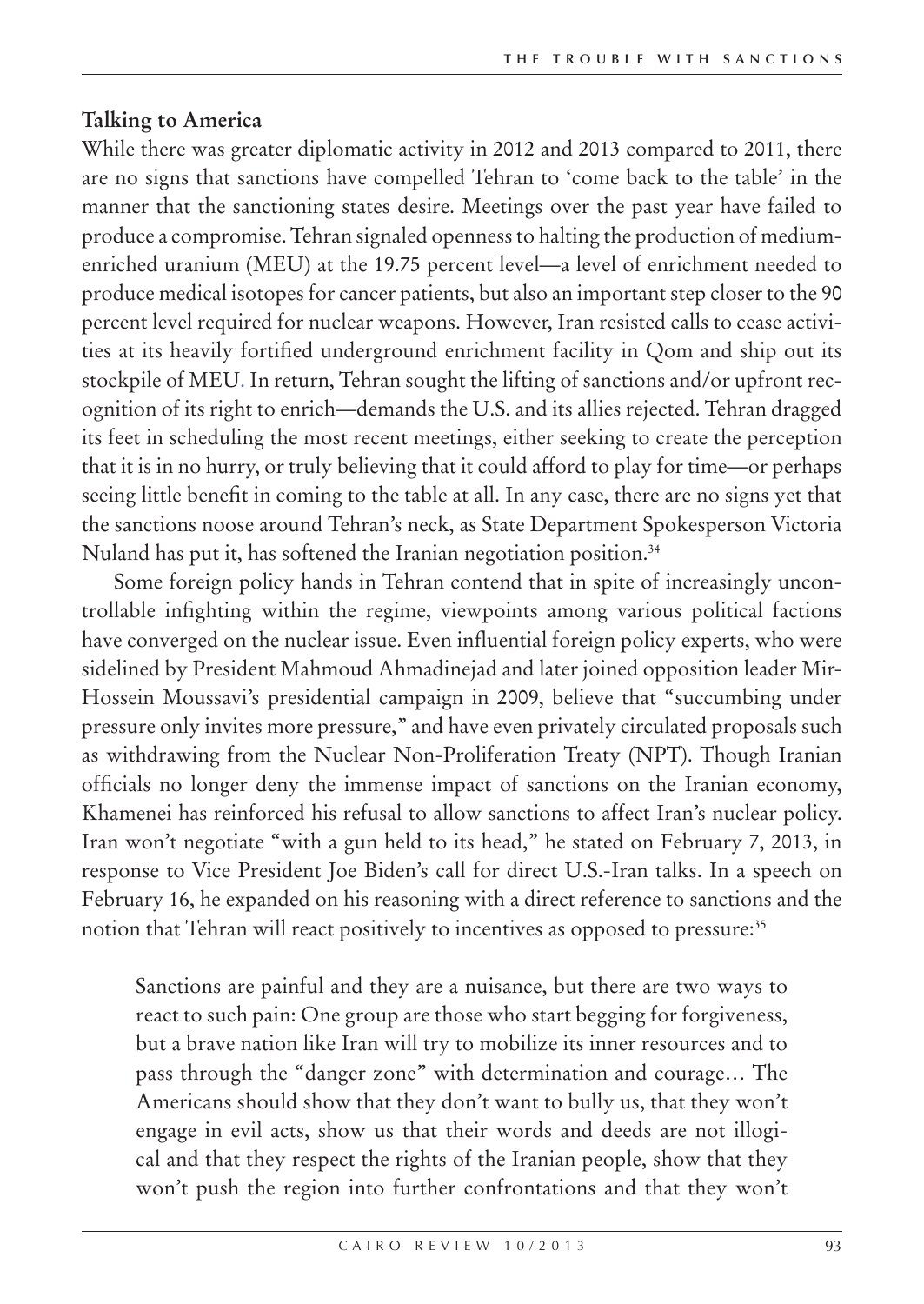#### **Talking to America**

While there was greater diplomatic activity in 2012 and 2013 compared to 2011, there are no signs that sanctions have compelled Tehran to 'come back to the table' in the manner that the sanctioning states desire. Meetings over the past year have failed to produce a compromise. Tehran signaled openness to halting the production of mediumenriched uranium (MEU) at the 19.75 percent level—a level of enrichment needed to produce medical isotopes for cancer patients, but also an important step closer to the 90 percent level required for nuclear weapons. However, Iran resisted calls to cease activities at its heavily fortified underground enrichment facility in Qom and ship out its stockpile of MEU. In return, Tehran sought the lifting of sanctions and/or upfront recognition of its right to enrich—demands the U.S. and its allies rejected. Tehran dragged its feet in scheduling the most recent meetings, either seeking to create the perception that it is in no hurry, or truly believing that it could afford to play for time—or perhaps seeing little benefit in coming to the table at all. In any case, there are no signs yet that the sanctions noose around Tehran's neck, as State Department Spokesperson Victoria Nuland has put it, has softened the Iranian negotiation position.<sup>34</sup>

Some foreign policy hands in Tehran contend that in spite of increasingly uncontrollable infighting within the regime, viewpoints among various political factions have converged on the nuclear issue. Even influential foreign policy experts, who were sidelined by President Mahmoud Ahmadinejad and later joined opposition leader Mir-Hossein Moussavi's presidential campaign in 2009, believe that "succumbing under pressure only invites more pressure," and have even privately circulated proposals such as withdrawing from the Nuclear Non-Proliferation Treaty (NPT). Though Iranian officials no longer deny the immense impact of sanctions on the Iranian economy, Khamenei has reinforced his refusal to allow sanctions to affect Iran's nuclear policy. Iran won't negotiate "with a gun held to its head," he stated on February 7, 2013, in response to Vice President Joe Biden's call for direct U.S.-Iran talks. In a speech on February 16, he expanded on his reasoning with a direct reference to sanctions and the notion that Tehran will react positively to incentives as opposed to pressure:<sup>35</sup>

Sanctions are painful and they are a nuisance, but there are two ways to react to such pain: One group are those who start begging for forgiveness, but a brave nation like Iran will try to mobilize its inner resources and to pass through the "danger zone" with determination and courage… The Americans should show that they don't want to bully us, that they won't engage in evil acts, show us that their words and deeds are not illogical and that they respect the rights of the Iranian people, show that they won't push the region into further confrontations and that they won't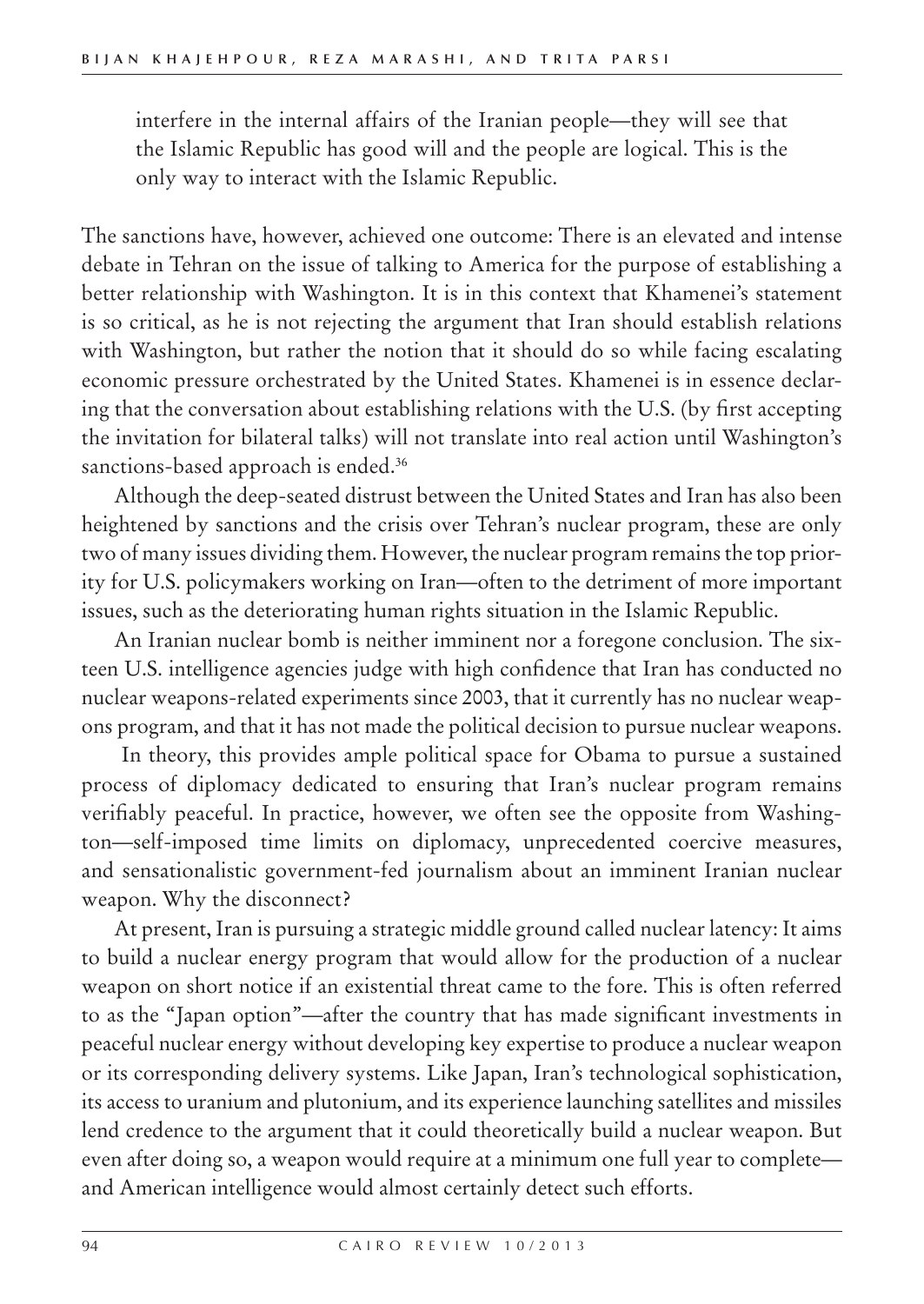interfere in the internal affairs of the Iranian people—they will see that the Islamic Republic has good will and the people are logical. This is the only way to interact with the Islamic Republic.

The sanctions have, however, achieved one outcome: There is an elevated and intense debate in Tehran on the issue of talking to America for the purpose of establishing a better relationship with Washington. It is in this context that Khamenei's statement is so critical, as he is not rejecting the argument that Iran should establish relations with Washington, but rather the notion that it should do so while facing escalating economic pressure orchestrated by the United States. Khamenei is in essence declaring that the conversation about establishing relations with the U.S. (by first accepting the invitation for bilateral talks) will not translate into real action until Washington's sanctions-based approach is ended.<sup>36</sup>

Although the deep-seated distrust between the United States and Iran has also been heightened by sanctions and the crisis over Tehran's nuclear program, these are only two of many issues dividing them. However, the nuclear program remains the top priority for U.S. policymakers working on Iran—often to the detriment of more important issues, such as the deteriorating human rights situation in the Islamic Republic.

An Iranian nuclear bomb is neither imminent nor a foregone conclusion. The sixteen U.S. intelligence agencies judge with high confidence that Iran has conducted no nuclear weapons-related experiments since 2003, that it currently has no nuclear weapons program, and that it has not made the political decision to pursue nuclear weapons.

 In theory, this provides ample political space for Obama to pursue a sustained process of diplomacy dedicated to ensuring that Iran's nuclear program remains verifiably peaceful. In practice, however, we often see the opposite from Washington—self-imposed time limits on diplomacy, unprecedented coercive measures, and sensationalistic government-fed journalism about an imminent Iranian nuclear weapon. Why the disconnect?

At present, Iran is pursuing a strategic middle ground called nuclear latency: It aims to build a nuclear energy program that would allow for the production of a nuclear weapon on short notice if an existential threat came to the fore. This is often referred to as the "Japan option"—after the country that has made significant investments in peaceful nuclear energy without developing key expertise to produce a nuclear weapon or its corresponding delivery systems. Like Japan, Iran's technological sophistication, its access to uranium and plutonium, and its experience launching satellites and missiles lend credence to the argument that it could theoretically build a nuclear weapon. But even after doing so, a weapon would require at a minimum one full year to complete and American intelligence would almost certainly detect such efforts.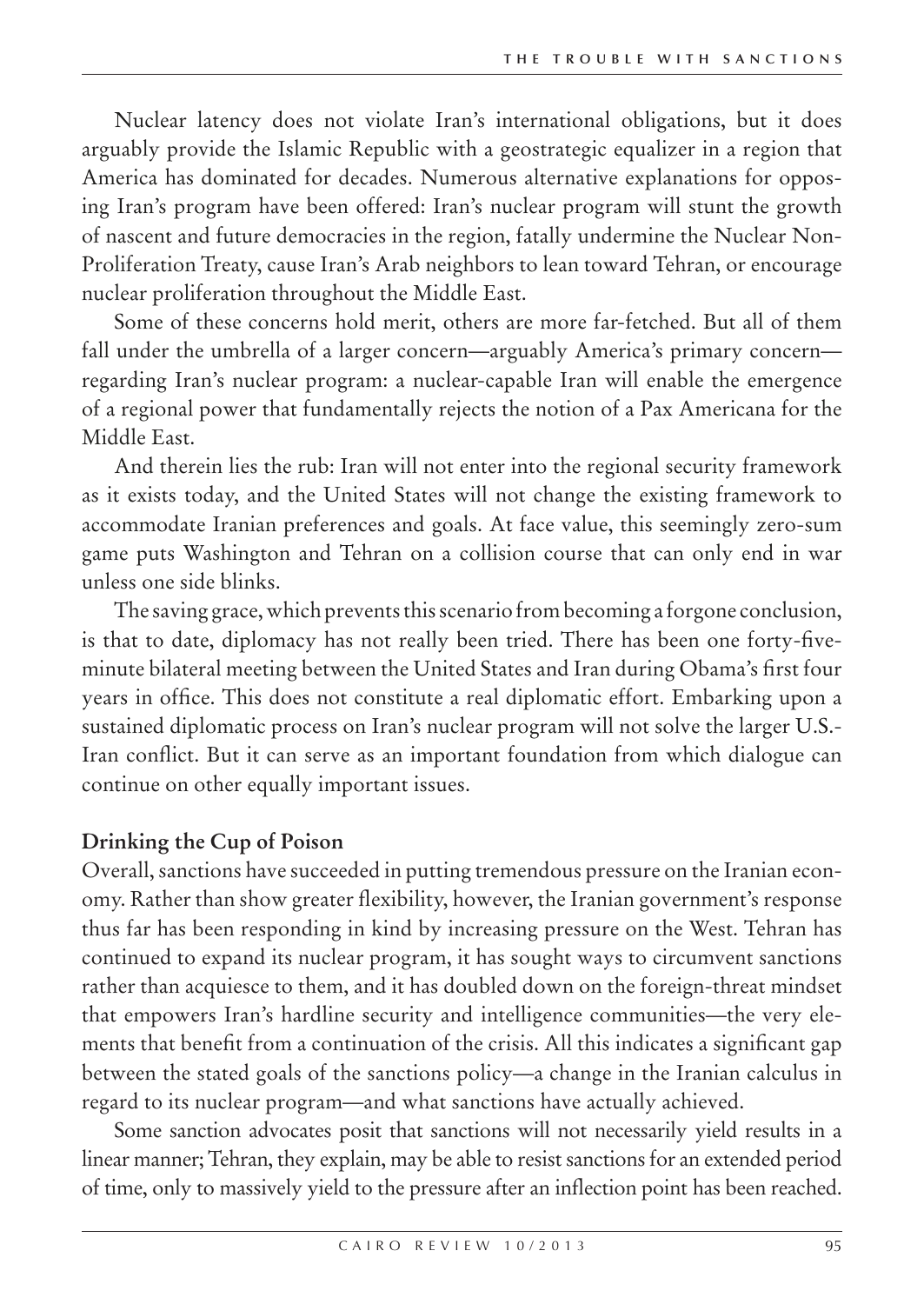Nuclear latency does not violate Iran's international obligations, but it does arguably provide the Islamic Republic with a geostrategic equalizer in a region that America has dominated for decades. Numerous alternative explanations for opposing Iran's program have been offered: Iran's nuclear program will stunt the growth of nascent and future democracies in the region, fatally undermine the Nuclear Non-Proliferation Treaty, cause Iran's Arab neighbors to lean toward Tehran, or encourage nuclear proliferation throughout the Middle East.

Some of these concerns hold merit, others are more far-fetched. But all of them fall under the umbrella of a larger concern—arguably America's primary concern regarding Iran's nuclear program: a nuclear-capable Iran will enable the emergence of a regional power that fundamentally rejects the notion of a Pax Americana for the Middle East.

And therein lies the rub: Iran will not enter into the regional security framework as it exists today, and the United States will not change the existing framework to accommodate Iranian preferences and goals. At face value, this seemingly zero-sum game puts Washington and Tehran on a collision course that can only end in war unless one side blinks.

The saving grace, which prevents this scenario from becoming a forgone conclusion, is that to date, diplomacy has not really been tried. There has been one forty-fiveminute bilateral meeting between the United States and Iran during Obama's first four years in office. This does not constitute a real diplomatic effort. Embarking upon a sustained diplomatic process on Iran's nuclear program will not solve the larger U.S.- Iran conflict. But it can serve as an important foundation from which dialogue can continue on other equally important issues.

#### **Drinking the Cup of Poison**

Overall, sanctions have succeeded in putting tremendous pressure on the Iranian economy. Rather than show greater flexibility, however, the Iranian government's response thus far has been responding in kind by increasing pressure on the West. Tehran has continued to expand its nuclear program, it has sought ways to circumvent sanctions rather than acquiesce to them, and it has doubled down on the foreign-threat mindset that empowers Iran's hardline security and intelligence communities—the very elements that benefit from a continuation of the crisis. All this indicates a significant gap between the stated goals of the sanctions policy—a change in the Iranian calculus in regard to its nuclear program—and what sanctions have actually achieved.

Some sanction advocates posit that sanctions will not necessarily yield results in a linear manner; Tehran, they explain, may be able to resist sanctions for an extended period of time, only to massively yield to the pressure after an inflection point has been reached.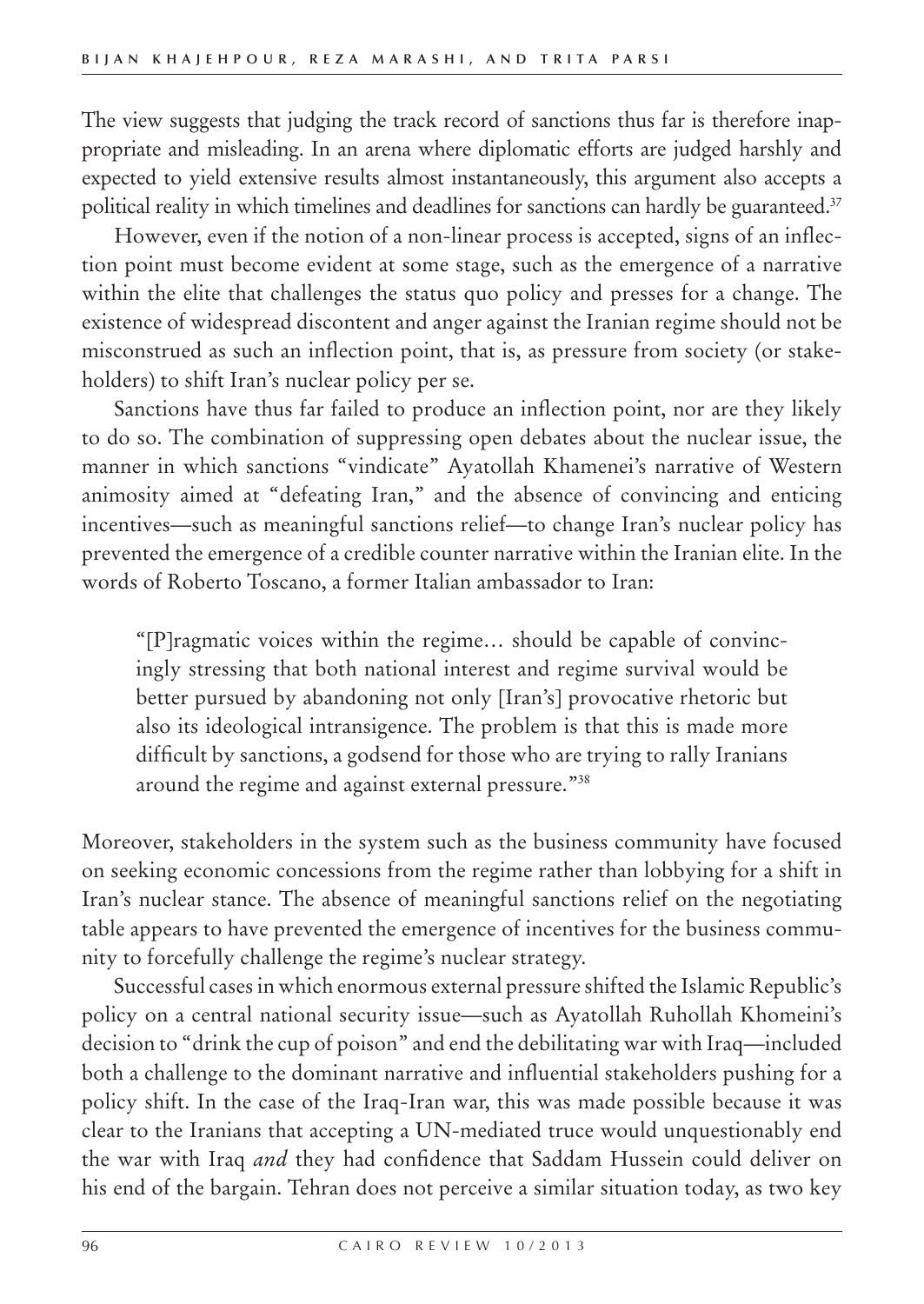The view suggests that judging the track record of sanctions thus far is therefore inappropriate and misleading. In an arena where diplomatic efforts are judged harshly and expected to yield extensive results almost instantaneously, this argument also accepts a political reality in which timelines and deadlines for sanctions can hardly be guaranteed.<sup>37</sup>

However, even if the notion of a non-linear process is accepted, signs of an inflection point must become evident at some stage, such as the emergence of a narrative within the elite that challenges the status quo policy and presses for a change. The existence of widespread discontent and anger against the Iranian regime should not be misconstrued as such an inflection point, that is, as pressure from society (or stakeholders) to shift Iran's nuclear policy per se.

Sanctions have thus far failed to produce an inflection point, nor are they likely to do so. The combination of suppressing open debates about the nuclear issue, the manner in which sanctions "vindicate" Ayatollah Khamenei's narrative of Western animosity aimed at "defeating Iran," and the absence of convincing and enticing incentives—such as meaningful sanctions relief—to change Iran's nuclear policy has prevented the emergence of a credible counter narrative within the Iranian elite. In the words of Roberto Toscano, a former Italian ambassador to Iran:

"[P]ragmatic voices within the regime… should be capable of convincingly stressing that both national interest and regime survival would be better pursued by abandoning not only [Iran's] provocative rhetoric but also its ideological intransigence. The problem is that this is made more difficult by sanctions, a godsend for those who are trying to rally Iranians around the regime and against external pressure."38

Moreover, stakeholders in the system such as the business community have focused on seeking economic concessions from the regime rather than lobbying for a shift in Iran's nuclear stance. The absence of meaningful sanctions relief on the negotiating table appears to have prevented the emergence of incentives for the business community to forcefully challenge the regime's nuclear strategy.

Successful cases in which enormous external pressure shifted the Islamic Republic's policy on a central national security issue—such as Ayatollah Ruhollah Khomeini's decision to "drink the cup of poison" and end the debilitating war with Iraq—included both a challenge to the dominant narrative and influential stakeholders pushing for a policy shift. In the case of the Iraq-Iran war, this was made possible because it was clear to the Iranians that accepting a UN-mediated truce would unquestionably end the war with Iraq *and* they had confidence that Saddam Hussein could deliver on his end of the bargain. Tehran does not perceive a similar situation today, as two key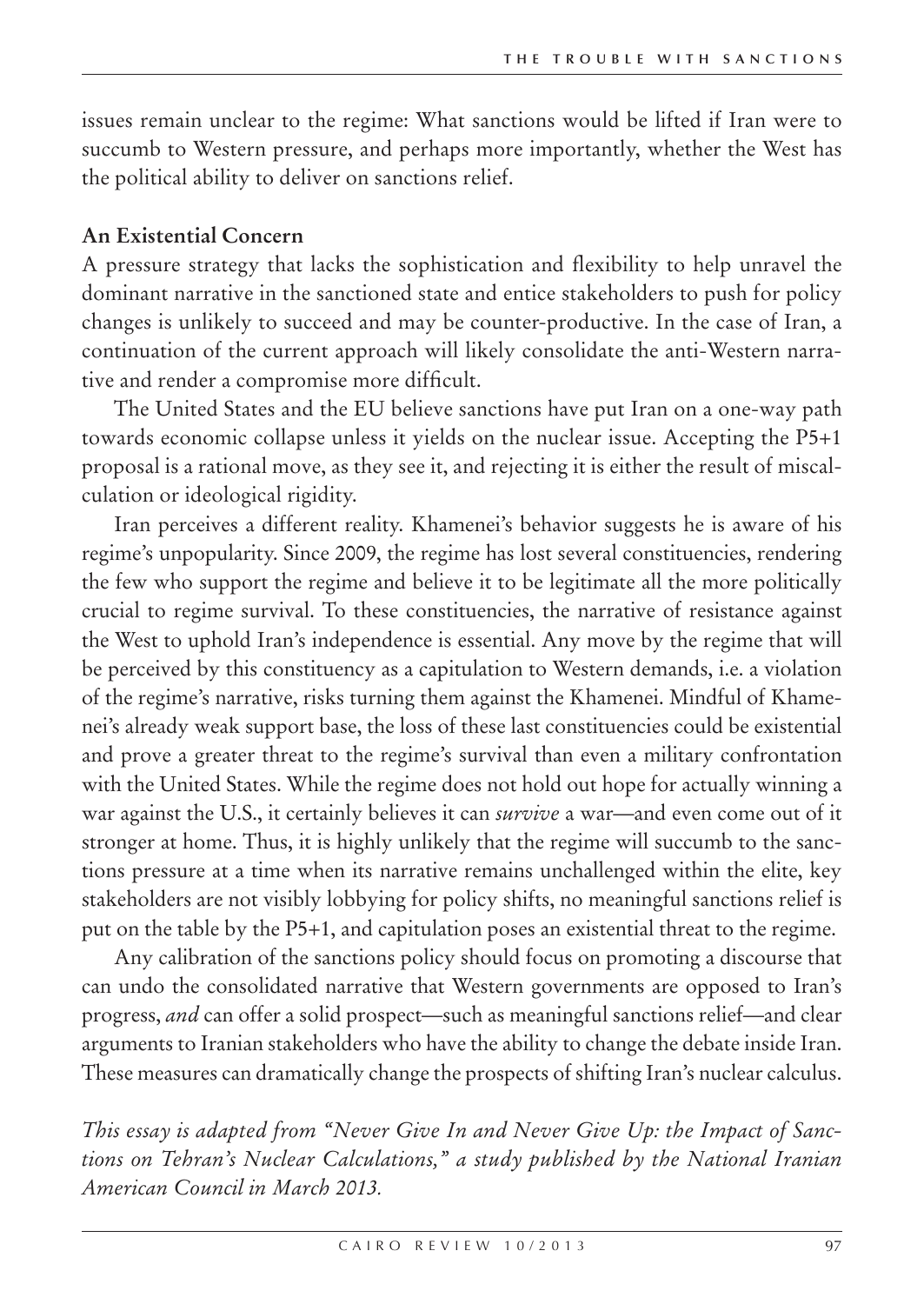issues remain unclear to the regime: What sanctions would be lifted if Iran were to succumb to Western pressure, and perhaps more importantly, whether the West has the political ability to deliver on sanctions relief.

#### **An Existential Concern**

A pressure strategy that lacks the sophistication and flexibility to help unravel the dominant narrative in the sanctioned state and entice stakeholders to push for policy changes is unlikely to succeed and may be counter-productive. In the case of Iran, a continuation of the current approach will likely consolidate the anti-Western narrative and render a compromise more difficult.

The United States and the EU believe sanctions have put Iran on a one-way path towards economic collapse unless it yields on the nuclear issue. Accepting the P5+1 proposal is a rational move, as they see it, and rejecting it is either the result of miscalculation or ideological rigidity.

Iran perceives a different reality. Khamenei's behavior suggests he is aware of his regime's unpopularity. Since 2009, the regime has lost several constituencies, rendering the few who support the regime and believe it to be legitimate all the more politically crucial to regime survival. To these constituencies, the narrative of resistance against the West to uphold Iran's independence is essential. Any move by the regime that will be perceived by this constituency as a capitulation to Western demands, i.e. a violation of the regime's narrative, risks turning them against the Khamenei. Mindful of Khamenei's already weak support base, the loss of these last constituencies could be existential and prove a greater threat to the regime's survival than even a military confrontation with the United States. While the regime does not hold out hope for actually winning a war against the U.S., it certainly believes it can *survive* a war—and even come out of it stronger at home. Thus, it is highly unlikely that the regime will succumb to the sanctions pressure at a time when its narrative remains unchallenged within the elite, key stakeholders are not visibly lobbying for policy shifts, no meaningful sanctions relief is put on the table by the P5+1, and capitulation poses an existential threat to the regime.

Any calibration of the sanctions policy should focus on promoting a discourse that can undo the consolidated narrative that Western governments are opposed to Iran's progress, *and* can offer a solid prospect—such as meaningful sanctions relief—and clear arguments to Iranian stakeholders who have the ability to change the debate inside Iran. These measures can dramatically change the prospects of shifting Iran's nuclear calculus.

*This essay is adapted from "Never Give In and Never Give Up: the Impact of Sanctions on Tehran's Nuclear Calculations," a study published by the National Iranian American Council in March 2013.*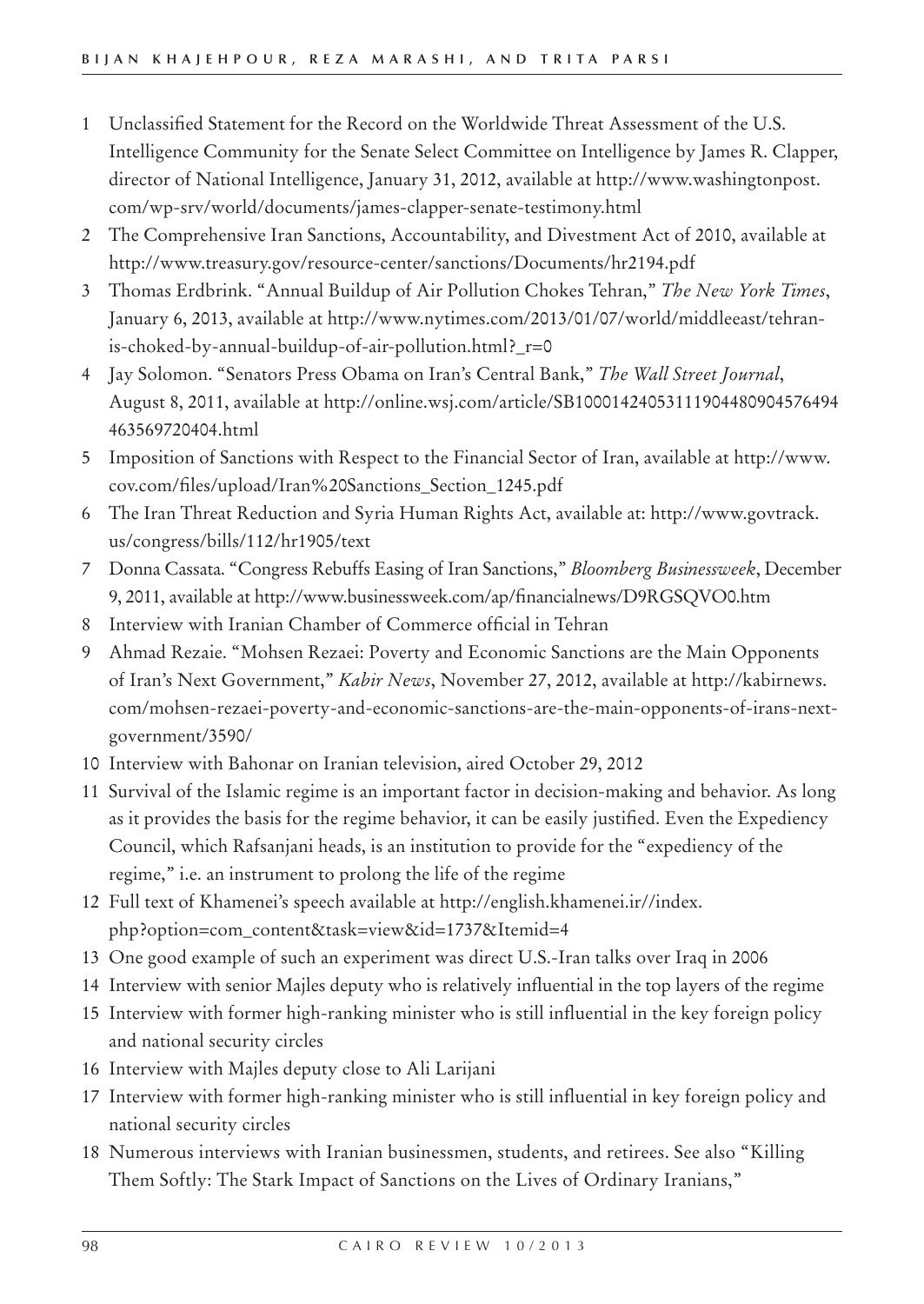- 1 Unclassified Statement for the Record on the Worldwide Threat Assessment of the U.S. Intelligence Community for the Senate Select Committee on Intelligence by James R. Clapper, director of National Intelligence, January 31, 2012, available at http://www.washingtonpost. com/wp-srv/world/documents/james-clapper-senate-testimony.html
- 2 The Comprehensive Iran Sanctions, Accountability, and Divestment Act of 2010, available at http://www.treasury.gov/resource-center/sanctions/Documents/hr2194.pdf
- 3 Thomas Erdbrink. "Annual Buildup of Air Pollution Chokes Tehran," *The New York Times*, January 6, 2013, available at http://www.nytimes.com/2013/01/07/world/middleeast/tehranis-choked-by-annual-buildup-of-air-pollution.html?\_r=0
- 4 Jay Solomon. "Senators Press Obama on Iran's Central Bank," *The Wall Street Journal*, August 8, 2011, available at http://online.wsj.com/article/SB10001424053111904480904576494 463569720404.html
- 5 Imposition of Sanctions with Respect to the Financial Sector of Iran, available at http://www. cov.com/files/upload/Iran%20Sanctions\_Section\_1245.pdf
- 6 The Iran Threat Reduction and Syria Human Rights Act, available at: http://www.govtrack. us/congress/bills/112/hr1905/text
- 7 Donna Cassata. "Congress Rebuffs Easing of Iran Sanctions," *Bloomberg Businessweek*, December 9, 2011, available at http://www.businessweek.com/ap/financialnews/D9RGSQVO0.htm
- 8 Interview with Iranian Chamber of Commerce official in Tehran
- 9 Ahmad Rezaie. "Mohsen Rezaei: Poverty and Economic Sanctions are the Main Opponents of Iran's Next Government," *Kabir News*, November 27, 2012, available at http://kabirnews. com/mohsen-rezaei-poverty-and-economic-sanctions-are-the-main-opponents-of-irans-nextgovernment/3590/
- 10 Interview with Bahonar on Iranian television, aired October 29, 2012
- 11 Survival of the Islamic regime is an important factor in decision-making and behavior. As long as it provides the basis for the regime behavior, it can be easily justified. Even the Expediency Council, which Rafsanjani heads, is an institution to provide for the "expediency of the regime," i.e. an instrument to prolong the life of the regime
- 12 Full text of Khamenei's speech available at http://english.khamenei.ir//index. php?option=com\_content&task=view&id=1737&Itemid=4
- 13 One good example of such an experiment was direct U.S.-Iran talks over Iraq in 2006
- 14 Interview with senior Majles deputy who is relatively influential in the top layers of the regime
- 15 Interview with former high-ranking minister who is still influential in the key foreign policy and national security circles
- 16 Interview with Majles deputy close to Ali Larijani
- 17 Interview with former high-ranking minister who is still influential in key foreign policy and national security circles
- 18 Numerous interviews with Iranian businessmen, students, and retirees. See also "Killing Them Softly: The Stark Impact of Sanctions on the Lives of Ordinary Iranians,"